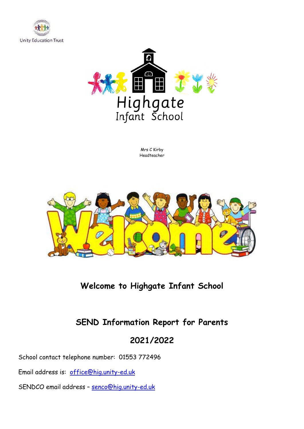



Mrs C Kirby Headteacher



# **Welcome to Highgate Infant School**

# **SEND Information Report for Parents**

# **2021/2022**

School contact telephone number: 01553 772496

Email address is: [office@hig.unity-ed.uk](mailto:office@hig.unity-ed.uk)

SENDCO email address – [senco@hig.unity-ed.uk](mailto:senco@hig.unity-ed.uk)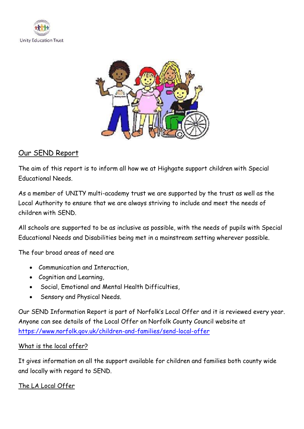



#### Our SEND Report

The aim of this report is to inform all how we at Highgate support children with Special Educational Needs.

As a member of UNITY multi-academy trust we are supported by the trust as well as the Local Authority to ensure that we are always striving to include and meet the needs of children with SEND.

All schools are supported to be as inclusive as possible, with the needs of pupils with Special Educational Needs and Disabilities being met in a mainstream setting wherever possible.

The four broad areas of need are

- Communication and Interaction,
- Cognition and Learning,
- Social, Emotional and Mental Health Difficulties,
- Sensory and Physical Needs.

Our SEND Information Report is part of Norfolk's Local Offer and it is reviewed every year. Anyone can see details of the Local Offer on Norfolk County Council website at <https://www.norfolk.gov.uk/children-and-families/send-local-offer>

#### What is the local offer?

It gives information on all the support available for children and families both county wide and locally with regard to SEND.

The LA Local Offer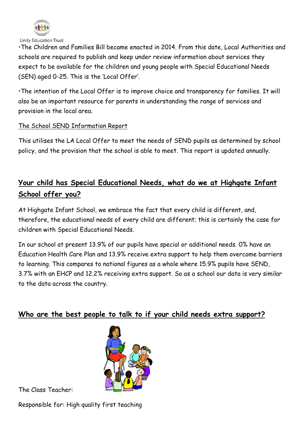

Unity Education Trust

•The Children and Families Bill became enacted in 2014. From this date, Local Authorities and schools are required to publish and keep under review information about services they expect to be available for the children and young people with Special Educational Needs (SEN) aged 0-25. This is the 'Local Offer'.

•The intention of the Local Offer is to improve choice and transparency for families. It will also be an important resource for parents in understanding the range of services and provision in the local area.

#### The School SEND Information Report

This utilises the LA Local Offer to meet the needs of SEND pupils as determined by school policy, and the provision that the school is able to meet. This report is updated annually.

## **Your child has Special Educational Needs, what do we at Highgate Infant School offer you?**

At Highgate Infant School, we embrace the fact that every child is different, and, therefore, the educational needs of every child are different; this is certainly the case for children with Special Educational Needs.

In our school at present 13.9% of our pupils have special or additional needs. 0% have an Education Health Care Plan and 13.9% receive extra support to help them overcome barriers to learning. This compares to national figures as a whole where 15.9% pupils have SEND, 3.7% with an EHCP and 12.2% receiving extra support. So as a school our data is very similar to the data across the country.

### **Who are the best people to talk to if your child needs extra support?**



The Class Teacher:

Responsible for: High quality first teaching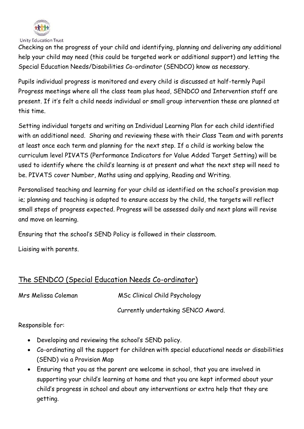

Checking on the progress of your child and identifying, planning and delivering any additional help your child may need (this could be targeted work or additional support) and letting the Special Education Needs/Disabilities Co-ordinator (SENDCO) know as necessary.

Pupils individual progress is monitored and every child is discussed at half-termly Pupil Progress meetings where all the class team plus head, SENDCO and Intervention staff are present. If it's felt a child needs individual or small group intervention these are planned at this time.

Setting individual targets and writing an Individual Learning Plan for each child identified with an additional need. Sharing and reviewing these with their Class Team and with parents at least once each term and planning for the next step. If a child is working below the curriculum level PIVATS (Performance Indicators for Value Added Target Setting) will be used to identify where the child's learning is at present and what the next step will need to be. PIVATS cover Number, Maths using and applying, Reading and Writing.

Personalised teaching and learning for your child as identified on the school's provision map ie; planning and teaching is adapted to ensure access by the child, the targets will reflect small steps of progress expected. Progress will be assessed daily and next plans will revise and move on learning.

Ensuring that the school's SEND Policy is followed in their classroom.

Liaising with parents.

### The SENDCO (Special Education Needs Co-ordinator)

Mrs Melissa Coleman MSc Clinical Child Psychology

Currently undertaking SENCO Award.

Responsible for:

- Developing and reviewing the school's SEND policy.
- Co-ordinating all the support for children with special educational needs or disabilities (SEND) via a Provision Map
- Ensuring that you as the parent are welcome in school, that you are involved in supporting your child's learning at home and that you are kept informed about your child's progress in school and about any interventions or extra help that they are getting.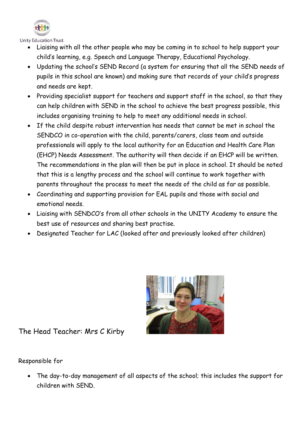

- Liaising with all the other people who may be coming in to school to help support your child's learning, e.g. Speech and Language Therapy, Educational Psychology.
- Updating the school's SEND Record (a system for ensuring that all the SEND needs of pupils in this school are known) and making sure that records of your child's progress and needs are kept.
- Providing specialist support for teachers and support staff in the school, so that they can help children with SEND in the school to achieve the best progress possible, this includes organising training to help to meet any additional needs in school.
- If the child despite robust intervention has needs that cannot be met in school the SENDCO in co-operation with the child, parents/carers, class team and outside professionals will apply to the local authority for an Education and Health Care Plan (EHCP) Needs Assessment. The authority will then decide if an EHCP will be written. The recommendations in the plan will then be put in place in school. It should be noted that this is a lengthy process and the school will continue to work together with parents throughout the process to meet the needs of the child as far as possible.
- Coordinating and supporting provision for EAL pupils and those with social and emotional needs.
- Liaising with SENDCO's from all other schools in the UNITY Academy to ensure the best use of resources and sharing best practise.
- Designated Teacher for LAC (looked after and previously looked after children)



The Head Teacher: Mrs C Kirby

Responsible for

• The day-to-day management of all aspects of the school; this includes the support for children with SEND.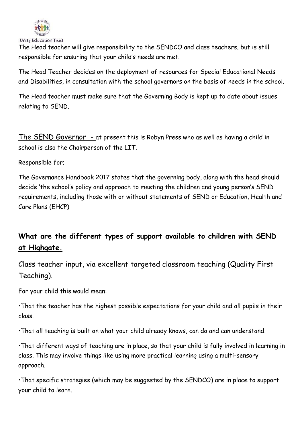

Unity Education Trust

The Head teacher will give responsibility to the SENDCO and class teachers, but is still responsible for ensuring that your child's needs are met.

The Head Teacher decides on the deployment of resources for Special Educational Needs and Disabilities, in consultation with the school governors on the basis of needs in the school.

The Head teacher must make sure that the Governing Body is kept up to date about issues relating to SEND.

The SEND Governor - at present this is Robyn Press who as well as having a child in school is also the Chairperson of the LIT.

Responsible for;

The Governance Handbook 2017 states that the governing body, along with the head should decide 'the school's policy and approach to meeting the children and young person's SEND requirements, including those with or without statements of SEND or Education, Health and Care Plans (EHCP)

# **What are the different types of support available to children with SEND at Highgate.**

Class teacher input, via excellent targeted classroom teaching (Quality First Teaching).

For your child this would mean:

•That the teacher has the highest possible expectations for your child and all pupils in their class.

•That all teaching is built on what your child already knows, can do and can understand.

•That different ways of teaching are in place, so that your child is fully involved in learning in class. This may involve things like using more practical learning using a multi-sensory approach.

•That specific strategies (which may be suggested by the SENDCO) are in place to support your child to learn.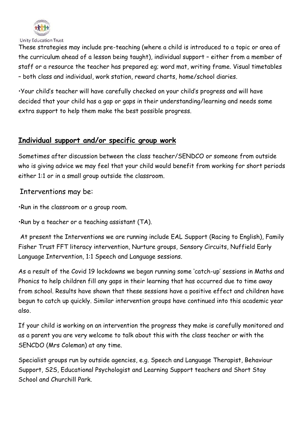

These strategies may include pre-teaching (where a child is introduced to a topic or area of the curriculum ahead of a lesson being taught), individual support – either from a member of staff or a resource the teacher has prepared eg; word mat, writing frame. Visual timetables – both class and individual, work station, reward charts, home/school diaries.

•Your child's teacher will have carefully checked on your child's progress and will have decided that your child has a gap or gaps in their understanding/learning and needs some extra support to help them make the best possible progress.

### **Individual support and/or specific group work**

Sometimes after discussion between the class teacher/SENDCO or someone from outside who is giving advice we may feel that your child would benefit from working for short periods either 1:1 or in a small group outside the classroom.

Interventions may be:

•Run in the classroom or a group room.

•Run by a teacher or a teaching assistant (TA).

At present the Interventions we are running include EAL Support (Racing to English), Family Fisher Trust FFT literacy intervention, Nurture groups, Sensory Circuits, Nuffield Early Language Intervention, 1:1 Speech and Language sessions.

As a result of the Covid 19 lockdowns we began running some 'catch-up' sessions in Maths and Phonics to help children fill any gaps in their learning that has occurred due to time away from school. Results have shown that these sessions have a positive effect and children have begun to catch up quickly. Similar intervention groups have continued into this academic year also.

If your child is working on an intervention the progress they make is carefully monitored and as a parent you are very welcome to talk about this with the class teacher or with the SENCDO (Mrs Coleman) at any time.

Specialist groups run by outside agencies, e.g. Speech and Language Therapist, Behaviour Support, S2S, Educational Psychologist and Learning Support teachers and Short Stay School and Churchill Park.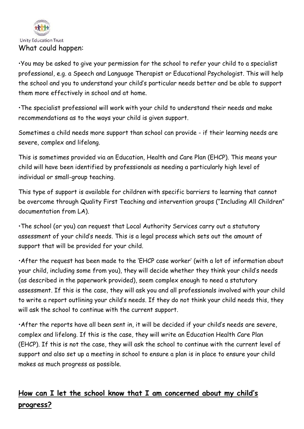

•You may be asked to give your permission for the school to refer your child to a specialist professional, e.g. a Speech and Language Therapist or Educational Psychologist. This will help the school and you to understand your child's particular needs better and be able to support them more effectively in school and at home.

•The specialist professional will work with your child to understand their needs and make recommendations as to the ways your child is given support.

Sometimes a child needs more support than school can provide - if their learning needs are severe, complex and lifelong.

This is sometimes provided via an Education, Health and Care Plan (EHCP). This means your child will have been identified by professionals as needing a particularly high level of individual or small-group teaching.

This type of support is available for children with specific barriers to learning that cannot be overcome through Quality First Teaching and intervention groups ("Including All Children" documentation from LA).

•The school (or you) can request that Local Authority Services carry out a statutory assessment of your child's needs. This is a legal process which sets out the amount of support that will be provided for your child.

•After the request has been made to the 'EHCP case worker' (with a lot of information about your child, including some from you), they will decide whether they think your child's needs (as described in the paperwork provided), seem complex enough to need a statutory assessment. If this is the case, they will ask you and all professionals involved with your child to write a report outlining your child's needs. If they do not think your child needs this, they will ask the school to continue with the current support.

•After the reports have all been sent in, it will be decided if your child's needs are severe, complex and lifelong. If this is the case, they will write an Education Health Care Plan (EHCP). If this is not the case, they will ask the school to continue with the current level of support and also set up a meeting in school to ensure a plan is in place to ensure your child makes as much progress as possible.

# **How can I let the school know that I am concerned about my child's progress?**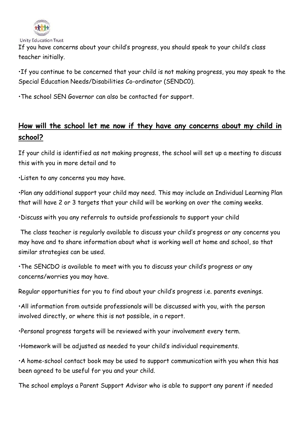

If you have concerns about your child's progress, you should speak to your child's class teacher initially.

•If you continue to be concerned that your child is not making progress, you may speak to the Special Education Needs/Disabilities Co-ordinator (SENDC0).

•The school SEN Governor can also be contacted for support.

### **How will the school let me now if they have any concerns about my child in school?**

If your child is identified as not making progress, the school will set up a meeting to discuss this with you in more detail and to

•Listen to any concerns you may have.

•Plan any additional support your child may need. This may include an Individual Learning Plan that will have 2 or 3 targets that your child will be working on over the coming weeks.

•Discuss with you any referrals to outside professionals to support your child

The class teacher is regularly available to discuss your child's progress or any concerns you may have and to share information about what is working well at home and school, so that similar strategies can be used.

•The SENCDO is available to meet with you to discuss your child's progress or any concerns/worries you may have.

Regular opportunities for you to find about your child's progress i.e. parents evenings.

•All information from outside professionals will be discussed with you, with the person involved directly, or where this is not possible, in a report.

•Personal progress targets will be reviewed with your involvement every term.

•Homework will be adjusted as needed to your child's individual requirements.

•A home-school contact book may be used to support communication with you when this has been agreed to be useful for you and your child.

The school employs a Parent Support Advisor who is able to support any parent if needed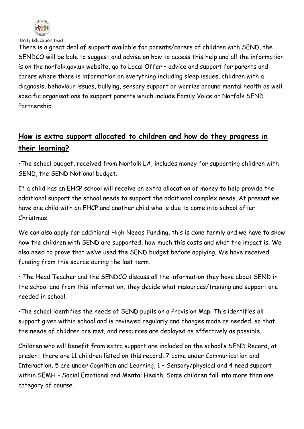

Unity Education Trust

There is a great deal of support available for parents/carers of children with SEND, the SENDCO will be bale to suggest and advise on how to access this help and all the information is on the norfolk.gov.uk website, go to Local Offer – advice and support for parents and carers where there is information on everything including sleep issues, children with a diagnosis, behaviour issues, bullying, sensory support or worries around mental health as well specific organisations to support parents which include Family Voice or Norfolk SEND Partnership.

## **How is extra support allocated to children and how do they progress in their learning?**

•The school budget, received from Norfolk LA, includes money for supporting children with SEND, the SEND Notional budget.

If a child has an EHCP school will receive an extra allocation of money to help provide the additional support the school needs to support the additional complex needs. At present we have one child with an EHCP and another child who is due to come into school after Christmas.

We can also apply for additional High Needs Funding, this is done termly and we have to show how the children with SEND are supported, how much this costs and what the impact is. We also need to prove that we've used the SEND budget before applying. We have received funding from this source during the last term.

• The Head Teacher and the SENDCO discuss all the information they have about SEND in the school and from this information, they decide what resources/training and support are needed in school.

•The school identifies the needs of SEND pupils on a Provision Map. This identifies all support given within school and is reviewed regularly and changes made as needed, so that the needs of children are met, and resources are deployed as effectively as possible.

Children who will benefit from extra support are included on the school's SEND Record, at present there are 11 children listed on this record, 7 come under Communication and Interaction, 5 are under Cognition and Learning, 1 – Sensory/physical and 4 need support within SEMH – Social Emotional and Mental Health. Some children fall into more than one category of course.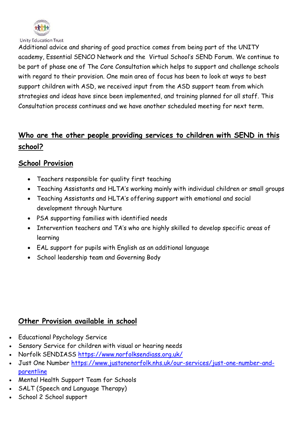

Additional advice and sharing of good practice comes from being part of the UNITY academy, Essential SENCO Network and the Virtual School's SEND Forum. We continue to be part of phase one of The Core Consultation which helps to support and challenge schools with regard to their provision. One main area of focus has been to look at ways to best support children with ASD, we received input from the ASD support team from which strategies and ideas have since been implemented, and training planned for all staff. This Consultation process continues and we have another scheduled meeting for next term.

# **Who are the other people providing services to children with SEND in this school?**

### **School Provision**

- Teachers responsible for quality first teaching
- Teaching Assistants and HLTA's working mainly with individual children or small groups
- Teaching Assistants and HLTA's offering support with emotional and social development through Nurture
- PSA supporting families with identified needs
- Intervention teachers and TA's who are highly skilled to develop specific areas of learning
- EAL support for pupils with English as an additional language
- School leadership team and Governing Body

### **Other Provision available in school**

- Educational Psychology Service
- Sensory Service for children with visual or hearing needs
- Norfolk SENDIASS <https://www.norfolksendiass.org.uk/>
- Just One Number [https://www.justonenorfolk.nhs.uk/our-services/just-one-number-and](https://www.justonenorfolk.nhs.uk/our-services/just-one-number-and-parentline)[parentline](https://www.justonenorfolk.nhs.uk/our-services/just-one-number-and-parentline)
- Mental Health Support Team for Schools
- SALT (Speech and Language Therapy)
- School 2 School support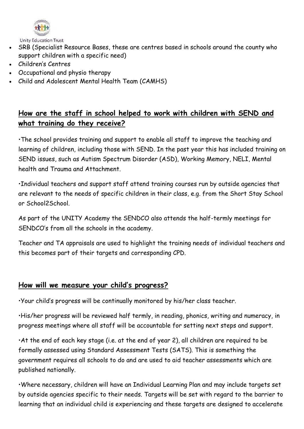

- SRB (Specialist Resource Bases, these are centres based in schools around the county who support children with a specific need)
- Children's Centres
- Occupational and physio therapy
- Child and Adolescent Mental Health Team (CAMHS)

### **How are the staff in school helped to work with children with SEND and what training do they receive?**

•The school provides training and support to enable all staff to improve the teaching and learning of children, including those with SEND. In the past year this has included training on SEND issues, such as Autism Spectrum Disorder (ASD), Working Memory, NELI, Mental health and Trauma and Attachment.

•Individual teachers and support staff attend training courses run by outside agencies that are relevant to the needs of specific children in their class, e.g. from the Short Stay School or School2School.

As part of the UNITY Academy the SENDCO also attends the half-termly meetings for SENDCO's from all the schools in the academy.

Teacher and TA appraisals are used to highlight the training needs of individual teachers and this becomes part of their targets and corresponding CPD.

### **How will we measure your child's progress?**

•Your child's progress will be continually monitored by his/her class teacher.

•His/her progress will be reviewed half termly, in reading, phonics, writing and numeracy, in progress meetings where all staff will be accountable for setting next steps and support.

•At the end of each key stage (i.e. at the end of year 2), all children are required to be formally assessed using Standard Assessment Tests (SATS). This is something the government requires all schools to do and are used to aid teacher assessments which are published nationally.

•Where necessary, children will have an Individual Learning Plan and may include targets set by outside agencies specific to their needs. Targets will be set with regard to the barrier to learning that an individual child is experiencing and these targets are designed to accelerate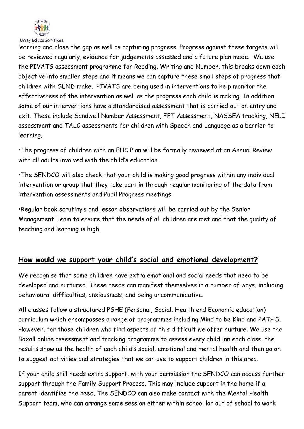

learning and close the gap as well as capturing progress. Progress against these targets will be reviewed regularly, evidence for judgements assessed and a future plan made. We use the PIVATS assessment programme for Reading, Writing and Number, this breaks down each objective into smaller steps and it means we can capture these small steps of progress that children with SEND make. PIVATS are being used in interventions to help monitor the effectiveness of the intervention as well as the progress each child is making. In addition some of our interventions have a standardised assessment that is carried out on entry and exit. These include Sandwell Number Assessment, FFT Assessment, NASSEA tracking, NELI assessment and TALC assessments for children with Speech and Language as a barrier to learning.

•The progress of children with an EHC Plan will be formally reviewed at an Annual Review with all adults involved with the child's education.

•The SENDCO will also check that your child is making good progress within any individual intervention or group that they take part in through regular monitoring of the data from intervention assessments and Pupil Progress meetings.

•Regular book scrutiny's and lesson observations will be carried out by the Senior Management Team to ensure that the needs of all children are met and that the quality of teaching and learning is high.

#### **How would we support your child's social and emotional development?**

We recognise that some children have extra emotional and social needs that need to be developed and nurtured. These needs can manifest themselves in a number of ways, including behavioural difficulties, anxiousness, and being uncommunicative.

All classes follow a structured PSHE (Personal, Social, Health end Economic education) curriculum which encompasses a range of programmes including Mind to be Kind and PATHS. However, for those children who find aspects of this difficult we offer nurture. We use the Boxall online assessment and tracking programme to assess every child inn each class, the results show us the health of each child's social, emotional and mental health and then go on to suggest activities and strategies that we can use to support children in this area.

If your child still needs extra support, with your permission the SENDCO can access further support through the Family Support Process. This may include support in the home if a parent identifies the need. The SENDCO can also make contact with the Mental Health Support team, who can arrange some session either within school lor out of school to work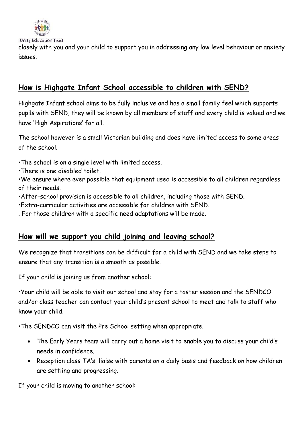

closely with you and your child to support you in addressing any low level behaviour or anxiety issues.

### **How is Highgate Infant School accessible to children with SEND?**

Highgate Infant school aims to be fully inclusive and has a small family feel which supports pupils with SEND, they will be known by all members of staff and every child is valued and we have 'High Aspirations' for all.

The school however is a small Victorian building and does have limited access to some areas of the school.

- •The school is on a single level with limited access.
- •There is one disabled toilet.

•We ensure where ever possible that equipment used is accessible to all children regardless of their needs.

•After-school provision is accessible to all children, including those with SEND.

•Extra-curricular activities are accessible for children with SEND.

. For those children with a specific need adaptations will be made.

### **How will we support you child joining and leaving school?**

We recognize that transitions can be difficult for a child with SEND and we take steps to ensure that any transition is a smooth as possible.

If your child is joining us from another school:

•Your child will be able to visit our school and stay for a taster session and the SENDCO and/or class teacher can contact your child's present school to meet and talk to staff who know your child.

•The SENDCO can visit the Pre School setting when appropriate.

- The Early Years team will carry out a home visit to enable you to discuss your child's needs in confidence.
- Reception class TA's liaise with parents on a daily basis and feedback on how children are settling and progressing.

If your child is moving to another school: